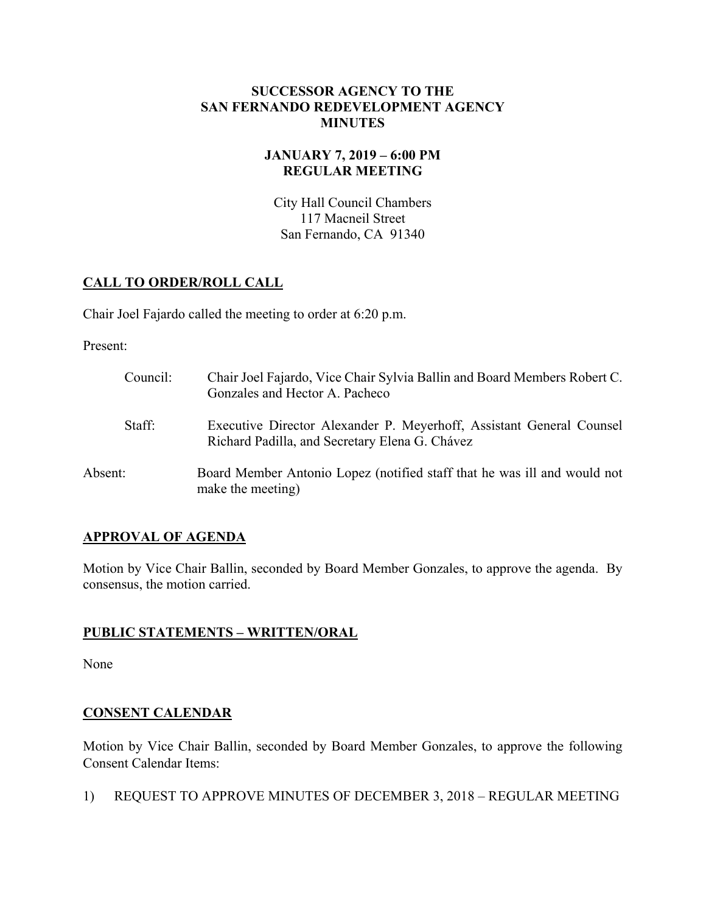### **SUCCESSOR AGENCY TO THE SAN FERNANDO REDEVELOPMENT AGENCY MINUTES**

# **JANUARY 7, 2019 – 6:00 PM REGULAR MEETING**

City Hall Council Chambers 117 Macneil Street San Fernando, CA 91340

# **CALL TO ORDER/ROLL CALL**

Chair Joel Fajardo called the meeting to order at 6:20 p.m.

Present:

| Council: | Chair Joel Fajardo, Vice Chair Sylvia Ballin and Board Members Robert C.<br>Gonzales and Hector A. Pacheco             |
|----------|------------------------------------------------------------------------------------------------------------------------|
| Staff:   | Executive Director Alexander P. Meyerhoff, Assistant General Counsel<br>Richard Padilla, and Secretary Elena G. Chávez |
| Absent:  | Board Member Antonio Lopez (notified staff that he was ill and would not<br>make the meeting)                          |

# **APPROVAL OF AGENDA**

Motion by Vice Chair Ballin, seconded by Board Member Gonzales, to approve the agenda. By consensus, the motion carried.

# **PUBLIC STATEMENTS – WRITTEN/ORAL**

None

# **CONSENT CALENDAR**

Motion by Vice Chair Ballin, seconded by Board Member Gonzales, to approve the following Consent Calendar Items:

1) REQUEST TO APPROVE MINUTES OF DECEMBER 3, 2018 – REGULAR MEETING